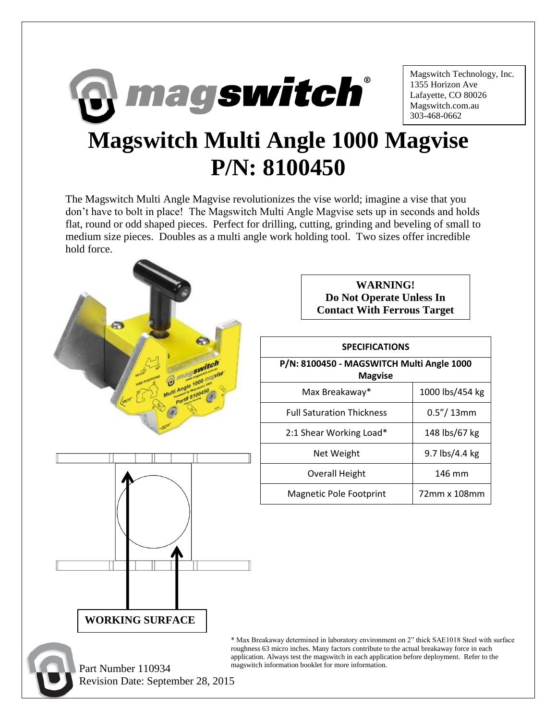

Magswitch Technology, Inc. 1355 Horizon Ave Lafayette, CO 80026 Magswitch.com.au 303-468-0662

## **Magswitch Multi Angle 1000 Magvise P/N: 8100450**

The Magswitch Multi Angle Magvise revolutionizes the vise world; imagine a vise that you don't have to bolt in place! The Magswitch Multi Angle Magvise sets up in seconds and holds flat, round or odd shaped pieces. Perfect for drilling, cutting, grinding and beveling of small to medium size pieces. Doubles as a multi angle work holding tool. Two sizes offer incredible hold force.



 Part Number 110934 Revision Date: September 28, 2015

**WARNING! Do Not Operate Unless In Contact With Ferrous Target**

## **SPECIFICATIONS**

| P/N: 8100450 - MAGSWITCH Multi Angle 1000<br><b>Magvise</b> |                 |  |
|-------------------------------------------------------------|-----------------|--|
| Max Breakaway*                                              | 1000 lbs/454 kg |  |
| <b>Full Saturation Thickness</b>                            | $0.5''/13$ mm   |  |
| 2:1 Shear Working Load*                                     | 148 lbs/67 kg   |  |
| Net Weight                                                  | 9.7 lbs/4.4 kg  |  |
| <b>Overall Height</b>                                       | 146 mm          |  |
| Magnetic Pole Footprint                                     | 72mm x 108mm    |  |

\* Max Breakaway determined in laboratory environment on 2" thick SAE1018 Steel with surface roughness 63 micro inches. Many factors contribute to the actual breakaway force in each application. Always test the magswitch in each application before deployment. Refer to the magswitch information booklet for more information.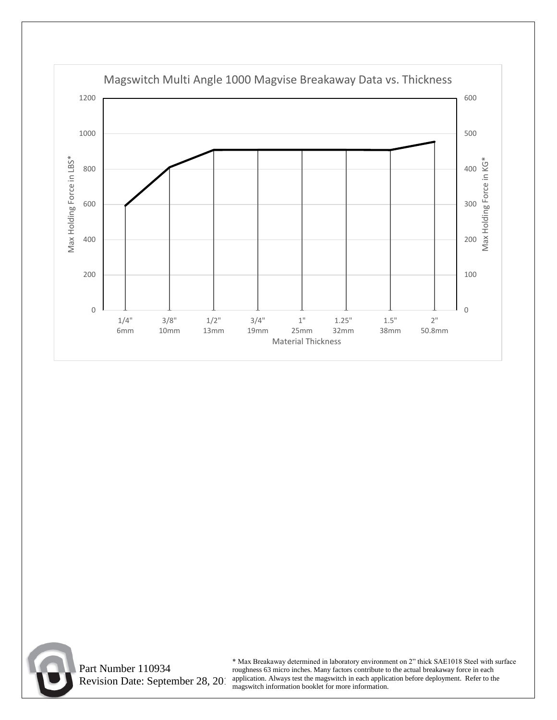



 Part Number 110934 Revision Date: September 28, 2015

\* Max Breakaway determined in laboratory environment on 2" thick SAE1018 Steel with surface roughness 63 micro inches. Many factors contribute to the actual breakaway force in each application. Always test the magswitch in each application before deployment. Refer to the magswitch information booklet for more information.